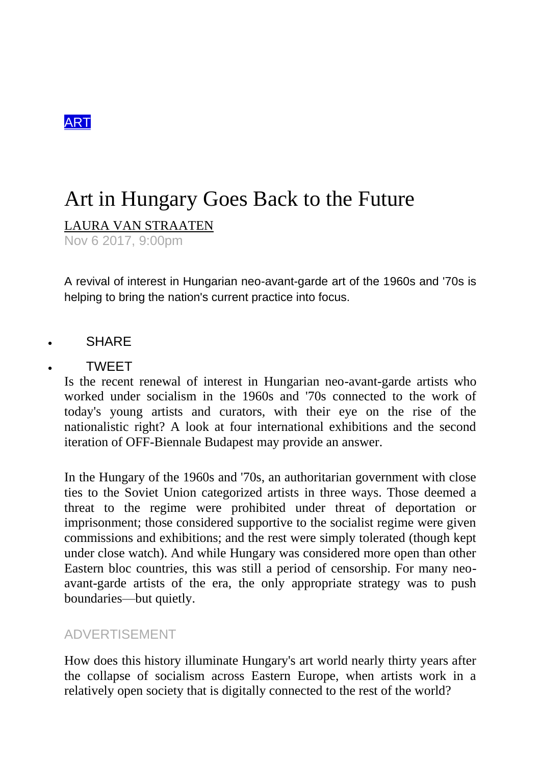

## Art in Hungary Goes Back to the Future

[LAURA VAN STRAATEN](https://garage.vice.com/en_us/contributor/laura-van-straaten)

Nov 6 2017, 9:00pm

A revival of interest in Hungarian neo-avant-garde art of the 1960s and '70s is helping to bring the nation's current practice into focus.

**SHARE** 

## TWEET

Is the recent renewal of interest in Hungarian neo-avant-garde artists who worked under socialism in the 1960s and '70s connected to the work of today's young artists and curators, with their eye on the rise of the nationalistic right? A look at four international exhibitions and the second iteration of OFF-Biennale Budapest may provide an answer.

In the Hungary of the 1960s and '70s, an authoritarian government with close ties to the Soviet Union categorized artists in three ways. Those deemed a threat to the regime were prohibited under threat of deportation or imprisonment; those considered supportive to the socialist regime were given commissions and exhibitions; and the rest were simply tolerated (though kept under close watch). And while Hungary was considered more open than other Eastern bloc countries, this was still a period of censorship. For many neoavant-garde artists of the era, the only appropriate strategy was to push boundaries—but quietly.

## ADVERTISEMENT

How does this history illuminate Hungary's art world nearly thirty years after the collapse of socialism across Eastern Europe, when artists work in a relatively open society that is digitally connected to the rest of the world?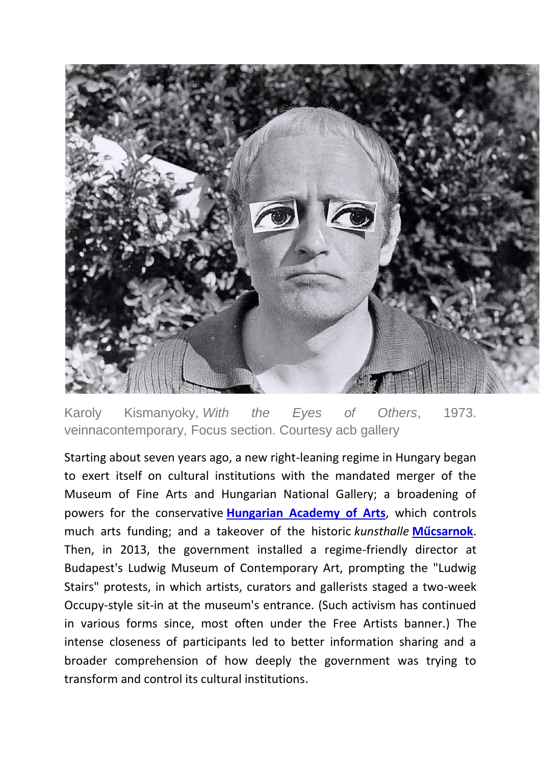

Karoly Kismanyoky, *With the Eyes of Others*, 1973. veinnacontemporary, Focus section. Courtesy acb gallery

Starting about seven years ago, a new right-leaning regime in Hungary began to exert itself on cultural institutions with the mandated merger of the Museum of Fine Arts and Hungarian National Gallery; a broadening of powers for the conservative **[Hungarian Academy of Arts](http://www.mma.hu:8080/en/web/en/index)**, which controls much arts funding; and a takeover of the historic *kunsthalle* **[Műcsarnok](http://www.mucsarnok.hu/index1.php)**. Then, in 2013, the government installed a regime-friendly director at Budapest's Ludwig Museum of Contemporary Art, prompting the "Ludwig Stairs" protests, in which artists, curators and gallerists staged a two-week Occupy-style sit-in at the museum's entrance. (Such activism has continued in various forms since, most often under the Free Artists banner.) The intense closeness of participants led to better information sharing and a broader comprehension of how deeply the government was trying to transform and control its cultural institutions.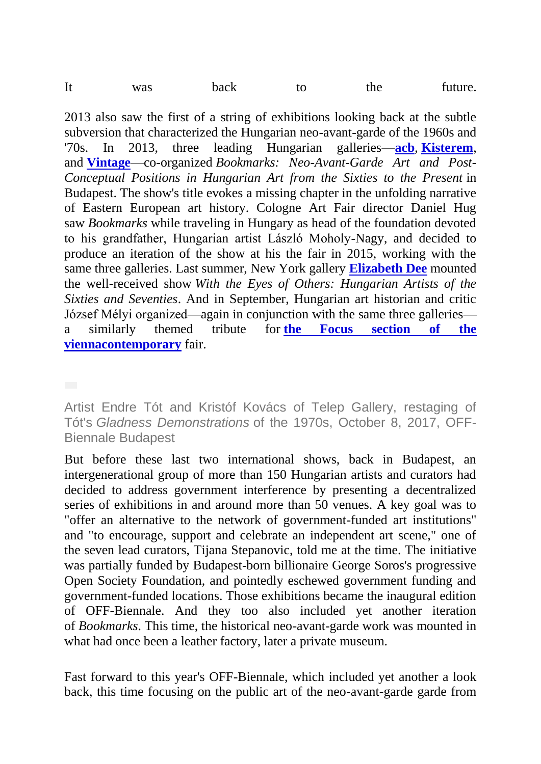| It<br>the<br>was |  |  | back |  |  | future. |
|------------------|--|--|------|--|--|---------|
|------------------|--|--|------|--|--|---------|

2013 also saw the first of a string of exhibitions looking back at the subtle subversion that characterized the Hungarian neo-avant-garde of the 1960s and '70s. In 2013, three leading Hungarian galleries—**[acb](http://acbgaleria.hu/about_us)**, **[Kisterem](http://www.kisterem.hu/)**, and **[Vintage](http://vintage.hu/exhibitions)**—co-organized *Bookmarks: Neo-Avant-Garde Art and Post-Conceptual Positions in Hungarian Art from the Sixties to the Present* in Budapest. The show's title evokes a missing chapter in the unfolding narrative of Eastern European art history. Cologne Art Fair director Daniel Hug saw *Bookmarks* while traveling in Hungary as head of the foundation devoted to his grandfather, Hungarian artist László Moholy-Nagy, and decided to produce an iteration of the show at his the fair in 2015, working with the same three galleries. Last summer, New York gallery **[Elizabeth Dee](http://www.elizabethdee.com/exhibitions/with-the-eyes-of-others-hungarian-artists-of-the-sixties-and-seventies)** mounted the well-received show *With the Eyes of Others: Hungarian Artists of the Sixties and Seventies*. And in September, Hungarian art historian and critic József Mélyi organized—again in conjunction with the same three galleries a similarly themed tribute for **[the Focus section](http://www.viennacontemporary.at/en/program/focus/) of the [viennacontemporary](http://www.viennacontemporary.at/en/program/focus/)** fair.

Artist Endre Tót and Kristóf Kovács of Telep Gallery, restaging of Tót's *Gladness Demonstrations* of the 1970s, October 8, 2017, OFF-Biennale Budapest

But before these last two international shows, back in Budapest, an intergenerational group of more than 150 Hungarian artists and curators had decided to address government interference by presenting a decentralized series of exhibitions in and around more than 50 venues. A key goal was to "offer an alternative to the network of government-funded art institutions" and "to encourage, support and celebrate an independent art scene," one of the seven lead curators, Tijana Stepanovic, told me at the time. The initiative was partially funded by Budapest-born billionaire George Soros's progressive Open Society Foundation, and pointedly eschewed government funding and government-funded locations. Those exhibitions became the inaugural edition of OFF-Biennale. And they too also included yet another iteration of *Bookmarks*. This time, the historical neo-avant-garde work was mounted in what had once been a leather factory, later a private museum.

Fast forward to this year's OFF-Biennale, which included yet another a look back, this time focusing on the public art of the neo-avant-garde garde from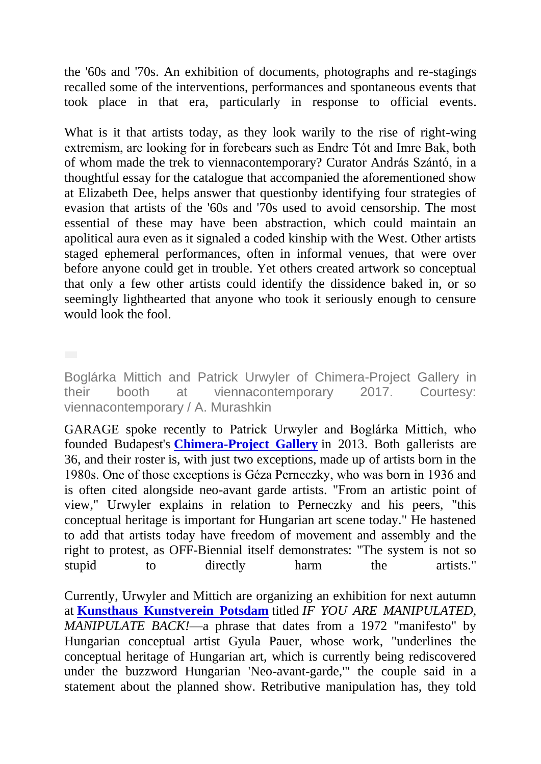the '60s and '70s. An exhibition of documents, photographs and re-stagings recalled some of the interventions, performances and spontaneous events that took place in that era, particularly in response to official events.

What is it that artists today, as they look warily to the rise of right-wing extremism, are looking for in forebears such as Endre Tót and Imre Bak, both of whom made the trek to viennacontemporary? Curator András Szántó, in a thoughtful essay for the catalogue that accompanied the aforementioned show at Elizabeth Dee, helps answer that questionby identifying four strategies of evasion that artists of the '60s and '70s used to avoid censorship. The most essential of these may have been abstraction, which could maintain an apolitical aura even as it signaled a coded kinship with the West. Other artists staged ephemeral performances, often in informal venues, that were over before anyone could get in trouble. Yet others created artwork so conceptual that only a few other artists could identify the dissidence baked in, or so seemingly lighthearted that anyone who took it seriously enough to censure would look the fool.

Boglárka Mittich and Patrick Urwyler of Chimera-Project Gallery in their booth at viennacontemporary 2017. Courtesy: viennacontemporary / A. Murashkin

GARAGE spoke recently to Patrick Urwyler and Boglárka Mittich, who founded Budapest's **[Chimera-Project Gallery](http://www.chimera-project.com/about.html)** in 2013. Both gallerists are 36, and their roster is, with just two exceptions, made up of artists born in the 1980s. One of those exceptions is Géza Perneczky, who was born in 1936 and is often cited alongside neo-avant garde artists. "From an artistic point of view," Urwyler explains in relation to Perneczky and his peers, "this conceptual heritage is important for Hungarian art scene today." He hastened to add that artists today have freedom of movement and assembly and the right to protest, as OFF-Biennial itself demonstrates: "The system is not so stupid to directly harm the artists."

Currently, Urwyler and Mittich are organizing an exhibition for next autumn at **[Kunsthaus Kunstverein Potsdam](http://www.kunstverein-kunsthaus-potsdam.de/)** titled *IF YOU ARE MANIPULATED, MANIPULATE BACK!*—a phrase that dates from a 1972 "manifesto" by Hungarian conceptual artist Gyula Pauer, whose work, "underlines the conceptual heritage of Hungarian art, which is currently being rediscovered under the buzzword Hungarian 'Neo-avant-garde,'" the couple said in a statement about the planned show. Retributive manipulation has, they told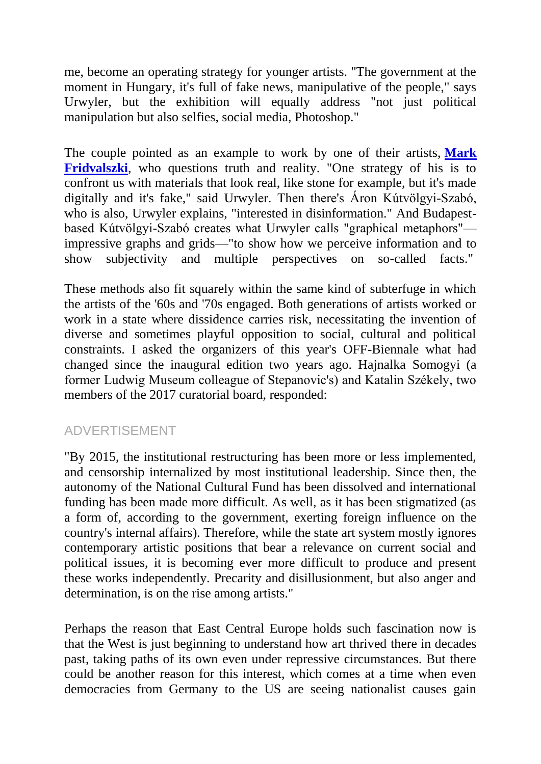me, become an operating strategy for younger artists. "The government at the moment in Hungary, it's full of fake news, manipulative of the people," says Urwyler, but the exhibition will equally address "not just political manipulation but also selfies, social media, Photoshop."

The couple pointed as an example to work by one of their artists, **[Mark](http://www.chimera-project.com/artists/mark-fridvalszki.html)  [Fridvalszki](http://www.chimera-project.com/artists/mark-fridvalszki.html)**, who questions truth and reality. "One strategy of his is to confront us with materials that look real, like stone for example, but it's made digitally and it's fake," said Urwyler. Then there's Áron Kútvölgyi-Szabó, who is also, Urwyler explains, "interested in disinformation." And Budapestbased Kútvölgyi-Szabó creates what Urwyler calls "graphical metaphors" impressive graphs and grids—"to show how we perceive information and to show subjectivity and multiple perspectives on so-called facts."

These methods also fit squarely within the same kind of subterfuge in which the artists of the '60s and '70s engaged. Both generations of artists worked or work in a state where dissidence carries risk, necessitating the invention of diverse and sometimes playful opposition to social, cultural and political constraints. I asked the organizers of this year's OFF-Biennale what had changed since the inaugural edition two years ago. Hajnalka Somogyi (a former Ludwig Museum colleague of Stepanovic's) and Katalin Székely, two members of the 2017 curatorial board, responded:

## ADVERTISEMENT

"By 2015, the institutional restructuring has been more or less implemented, and censorship internalized by most institutional leadership. Since then, the autonomy of the National Cultural Fund has been dissolved and international funding has been made more difficult. As well, as it has been stigmatized (as a form of, according to the government, exerting foreign influence on the country's internal affairs). Therefore, while the state art system mostly ignores contemporary artistic positions that bear a relevance on current social and political issues, it is becoming ever more difficult to produce and present these works independently. Precarity and disillusionment, but also anger and determination, is on the rise among artists."

Perhaps the reason that East Central Europe holds such fascination now is that the West is just beginning to understand how art thrived there in decades past, taking paths of its own even under repressive circumstances. But there could be another reason for this interest, which comes at a time when even democracies from Germany to the US are seeing nationalist causes gain